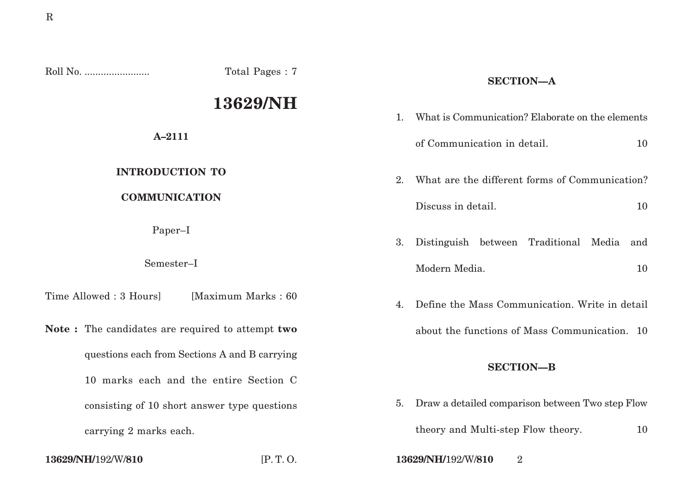Roll No. ........................ Total Pages : 7

# **13629/NH**

# **A–2111**

# **INTRODUCTION TO**

## **COMMUNICATION**

Paper–I

### Semester–I

Time Allowed : 3 Hours] [Maximum Marks : 60

**Note :** The candidates are required to attempt **two** questions each from Sections A and B carrying 10 marks each and the entire Section C consisting of 10 short answer type questions carrying 2 marks each.

# **SECTION—A**

| $\mathbf{1}$ | What is Communication? Elaborate on the elements |  |  |
|--------------|--------------------------------------------------|--|--|
|              | of Communication in detail.<br>10                |  |  |
| $2^{\circ}$  | What are the different forms of Communication?   |  |  |
|              | Discuss in detail.<br>10                         |  |  |
| 3.           | Distinguish between Traditional Media<br>and     |  |  |
|              | Modern Media.<br>10                              |  |  |
| 4.           | Define the Mass Communication. Write in detail   |  |  |

about the functions of Mass Communication. 10

### **SECTION—B**

5. Draw a detailed comparison between Two step Flow

theory and Multi-step Flow theory. 10

**13629/NH/**192/W/**810** [P. T. O. **13629/NH/**192/W/**810** 2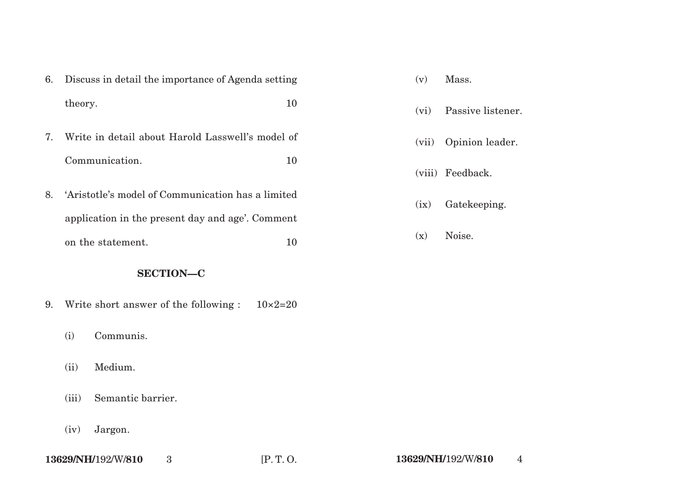|    | 6. Discuss in detail the importance of Agenda setting |    |  |
|----|-------------------------------------------------------|----|--|
|    | theory.                                               | 10 |  |
| 7. | Write in detail about Harold Lasswell's model of      |    |  |
|    | Communication.                                        | 10 |  |
| 8. | 'Aristotle's model of Communication has a limited     |    |  |
|    | application in the present day and age'. Comment      |    |  |

# **SECTION—C**

on the statement. 10

- 9. Write short answer of the following :  $10\times2=20$ 
	- (i) Communis.
	- (ii) Medium.
	- (iii) Semantic barrier.
	- (iv) Jargon.
- (vi) Passive listener.
- (vii) Opinion leader.
- (viii) Feedback.
- (ix) Gatekeeping.
- (x) Noise.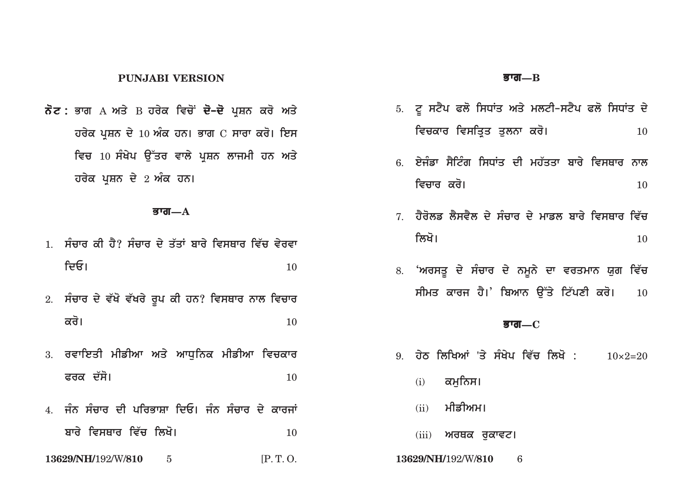#### **PUNJABI VERSION**

**ਨੋਟ :** ਭਾਗ А ਅਤੇ В ਹਰੇਕ ਵਿਚੋਂ **ਦੋ–ਦੋ** ਪਸ਼ਨ ਕਰੋ ਅਤੇ **ਹਰੇਕ ਪਸ਼ਨ ਦੇ 10 ਅੰਕ ਹਨ। ਭਾਗ**  $C$  **ਸਾਰਾ ਕਰੋ। ਇਸ** <u>ਵਿਚ 10 ਸੰਖੇਪ ਉੱਤਰ ਵਾਲੇ ਪੁਸ਼ਨ ਲਾਜਮੀ ਹਨ ਅਤੇ</u> **ਹਰੇਕ ਪੁਸ਼ਨ ਦੇ 2 ਅੰਕ ਹਨ।** 

#### **Bwg—A**

- <u>1. ਸੰਜਾਰ ਕੀ ਹੈ? ਸੰਜਾਰ ਦੇ ਤੱਤਾਂ ਬਾਰੇ ਵਿਸਥਾਰ ਵਿੱਚ ਵੇਰਵਾ</u>  $\mathsf{f}$ ਦਓ।  $10$
- 2. ਸੰਚਾਰ ਦੇ ਵੱਖੋ ਵੱਖਰੇ ਰੂਪ ਕੀ ਹਨ? ਵਿਸਥਾਰ ਨਾਲ ਵਿਚਾ**ਰ**  $\overrightarrow{\mathbf{a}}$ ਰੋ।  $\overrightarrow{\mathbf{a}}$
- 3. ਰਵਾਇਤੀ ਮੀਡੀਆ ਅਤੇ ਆਧਨਿਕ ਮੀਡੀਆ ਵਿ**ਚਕਾ**ਰ **Prk d`so[** <sup>10</sup>
- 4. ਜੰਨ ਸੰਚਾਰ ਦੀ ਪਰਿਭਾਸ਼ਾ ਦਿਓ। ਜੰਨ ਸੰਚਾਰ ਦੇ ਕਾਰਜਾਂ **bwry ivsQwr iv`c ilKo[** <sup>10</sup>
- **13629/NH/**192/W/**810** 5 [P. T. O. **13629/NH/**192/W/**810** 6

#### **Bwg—B**

- 5. ਟੂ ਸਟੈਪ ਫਲੋ ਸਿਧਾਂਤ ਅਤੇ ਮਲਟੀ-ਸਟੈਪ ਫਲੋ ਸਿਧਾਂਤ **ਦੇ** ਵਿਚਕਾਰ ਵਿਸਤਿਤ ਤਲਨਾ ਕਰੋ। <u>10</u>
- 6. ਏਜੰਡਾ ਸੈਟਿੰਗ ਸਿਧਾਂਤ ਦੀ ਮਹੱਤਤਾ ਬਾਰੇ ਵਿਸਥਾਰ ਨਾਲ **ivcwr kro[** <sup>10</sup>
- $7$  ਹੈਰੋਲਡ ਲੈਸਵੈਲ ਦੇ ਸੰਚਾਰ ਦੇ ਮਾਡਲ ਬਾਰੇ ਵਿਸਥਾਰ ਵਿੱਚ **ilKo[** <sup>10</sup>
- 8. **'ਅਰਸਤੂ ਦੇ ਸੰਚਾਰ ਦੇ ਨਮੂਨੇ ਦਾ ਵਰਤਮਾਨ ਯੁਗ ਵਿੱਚ** ਸੀਮਤ ਕਾਰਜ ਹੈ।' ਬਿਆਨ **ੳੱਤੇ ਟਿੱਪਣੀ ਕਰੋ।** 10

#### **Bwg—C**

- 9. ਹੇਠ ਲਿਖਿਆਂ 'ਤੇ ਸੰਖੇਪ ਵਿੱਚ ਲਿਖੋ : 10×2=20
	- <u>(i)</u> ਕਮਨਿਸ।
	- (ii) ਮੀਡੀਅਮ।
	- (iii) **ਅਰਥਕ ਰੁਕਾਵਟ।**
-